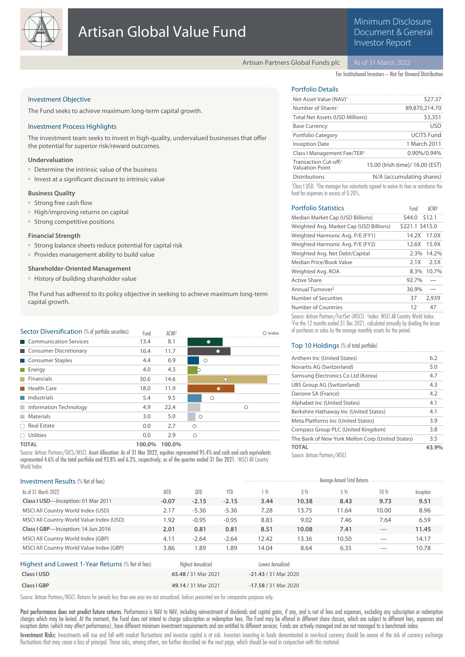

# Minimum Disclosure Document & General Investor Report

Artisan Partners Global Funds plc

For Institutional Investors – Not for Onward Distribution

# Investment Objective

The Fund seeks to achieve maximum long-term capital growth.

## Investment Process Highlights

The investment team seeks to invest in high-quality, undervalued businesses that offer the potential for superior risk/reward outcomes.

# **Undervaluation**

- Determine the intrinsic value of the business
- Invest at a significant discount to intrinsic value

#### **Business Quality**

- Strong free cash flow
- High/improving returns on capital
- Strong competitive positions

#### **Financial Strength**

- Strong balance sheets reduce potential for capital risk
- Provides management ability to build value

# **Shareholder-Oriented Management**

■ History of building shareholder value

The Fund has adhered to its policy objective in seeking to achieve maximum long-term capital growth.

| Sector Diversification (% of portfolio securities) | Fund | <b>ACWI</b> |         | $\cap$ Index |
|----------------------------------------------------|------|-------------|---------|--------------|
| Communication Services                             | 13.4 | 8.1         |         |              |
| Consumer Discretionary                             | 16.4 | 11.7        |         |              |
| Consumer Staples                                   | 4.4  | 6.9         | O       |              |
| $\blacksquare$ Energy                              | 4.0  | 4.3         |         |              |
| $\blacksquare$ Financials                          | 30.6 | 14.6        | $\cap$  |              |
| Health Care                                        | 18.0 | 11.9        |         |              |
| Industrials                                        | 5.4  | 9.5         | ∩       |              |
| Information Technology                             | 4.9  | 22.4        | Ω       |              |
| <b>Materials</b>                                   | 3.0  | 5.0         | Ο       |              |
| $\Box$ Real Estate                                 | 0.0  | 2.7         | $\circ$ |              |
| $\Box$ Utilities                                   | 0.0  | 2.9         | Ο       |              |
|                                                    |      |             |         |              |

**TOTAL 100.0% 100.0%**

Source: Artisan Partners/GICS/MSCI. Asset Allocation: As of 31 Mar 2022, equities represented 95.4% and cash and cash equivalents represented 4.6% of the total portfolio and 93.8% and 6.2%, respectively, as of the quarter ended 31 Dec 2021. <sup>1</sup>MSCI All Country World Index.

# Portfolio Details

| Net Asset Value (NAV) <sup>1</sup>                                                                                                                         | \$27.37                                                                                                      |
|------------------------------------------------------------------------------------------------------------------------------------------------------------|--------------------------------------------------------------------------------------------------------------|
| Number of Shares <sup>1</sup>                                                                                                                              | 89,870,214.70                                                                                                |
| <b>Total Net Assets (USD Millions)</b>                                                                                                                     | \$3,351                                                                                                      |
| <b>Base Currency</b>                                                                                                                                       | <b>USD</b>                                                                                                   |
| Portfolio Category                                                                                                                                         | <b>UCITS Fund</b>                                                                                            |
| <b>Inception Date</b>                                                                                                                                      | 1 March 2011                                                                                                 |
| Class I Management Fee/TER <sup>2</sup>                                                                                                                    | 0.90%/0.94%                                                                                                  |
| Transaction Cut-off/<br><b>Valuation Point</b>                                                                                                             | 15.00 (Irish time)/ 16.00 (EST)                                                                              |
| <b>Distributions</b>                                                                                                                                       | N/A (accumulating shares)                                                                                    |
| $\Gamma$ . If $\Gamma$ is a set of $\Gamma$ is a set of $\Gamma$ or $\Gamma$ or $\Gamma$ or $\Gamma$ or $\Gamma$ is a set of $\Gamma$ is a set of $\Gamma$ | <sup>1</sup> Class I USD. <sup>2</sup> The manager has voluntarily agreed to waive its fees or reimburse the |

fund for expenses in excess of 0.20%.

| <b>Portfolio Statistics</b>             | Fund            | ACWI <sup>1</sup> |
|-----------------------------------------|-----------------|-------------------|
| Median Market Cap (USD Billions)        | \$44.0 \$12.1   |                   |
| Weighted Avg. Market Cap (USD Billions) | \$221.1 \$415.0 |                   |
| Weighted Harmonic Avg. P/E (FY1)        | 14.2X           | 17.0X             |
| Weighted Harmonic Avg. P/E (FY2)        | 12.6X           | 15.9X             |
| Weighted Avg. Net Debt/Capital          | $2.3\%$         | 14.2%             |
| Median Price/Book Value                 | 2.1X            | 2.5X              |
| Weighted Avg. ROA                       | 8.3%            | 10.7%             |
| Active Share                            | 92.7%           |                   |
| Annual Turnover <sup>2</sup>            | 36.9%           |                   |
| Number of Securities                    | 37              | 2.939             |
| Number of Countries                     | 12              | 47                |
|                                         |                 |                   |

Source: Artisan Partners/FactSet (MSCI). <sup>1</sup> Index: MSCI All Country World Index. 2 For the 12 months ended 31 Dec 2021, calculated annually by dividing the lesser of purchases or sales by the average monthly assets for the period.

# Top 10 Holdings (% of total portfolio)

| Anthem Inc (United States)                       | 6.2   |
|--------------------------------------------------|-------|
| Novartis AG (Switzerland)                        | 5.0   |
| Samsung Electronics Co Ltd (Korea)               | 4.7   |
| UBS Group AG (Switzerland)                       | 4.3   |
| Danone SA (France)                               | 4.2   |
| Alphabet Inc (United States)                     | 4.1   |
| Berkshire Hathaway Inc (United States)           | 4.1   |
| Meta Platforms Inc (United States)               | 3.9   |
| Compass Group PLC (United Kingdom)               | 3.8   |
| The Bank of New York Mellon Corp (United States) | 3.5   |
| <b>TOTAL</b>                                     | 43.9% |
| $C_1, \ldots, C_n, C_n, \ldots, C_n$             |       |

Source: Artisan Partners/MSCI.

| <b>Investment Results (% Net of fees)</b>         |                     |                           |                      |                   |       | Average Annual Total Returns |                               |           |
|---------------------------------------------------|---------------------|---------------------------|----------------------|-------------------|-------|------------------------------|-------------------------------|-----------|
| As of 31 March 2022                               | <b>MTD</b>          | QTD                       | <b>YTD</b>           | 1 Yr              | 3 Yr  | 5Yr                          | 10Yr                          | Inception |
| Class I USD-Inception: 01 Mar 2011                | $-0.07$             | $-2.15$                   | $-2.15$              | 3.44              | 10.38 | 8.43                         | 9.73                          | 9.51      |
| MSCI All Country World Index (USD)                | 2.17                | $-5.36$                   | $-5.36$              | 7.28              | 13.75 | 11.64                        | 10.00                         | 8.96      |
| MSCI All Country World Value Index (USD)          | 1.92                | $-0.95$                   | $-0.95$              | 8.83              | 9.02  | 7.46                         | 7.64                          | 6.59      |
| Class I GBP-Inception: 14 Jun 2016                | 2.01                | 0.81                      | 0.81                 | 8.51              | 10.08 | 7.41                         | $\overbrace{\phantom{12332}}$ | 11.45     |
| MSCI All Country World Index (GBP)                | 4.11                | $-2.64$                   | $-2.64$              | 12.42             | 13.36 | 10.50                        |                               | 14.17     |
| MSCI All Country World Value Index (GBP)          | 3.86                | 1.89                      | 1.89                 | 14.04             | 8.64  | 6.35                         |                               | 10.78     |
| Highest and Lowest 1-Year Returns (% Net of fees) |                     | <b>Highest Annualized</b> |                      | Lowest Annualized |       |                              |                               |           |
| Class I USD                                       | 65.48 / 31 Mar 2021 |                           | -21.43 / 31 Mar 2020 |                   |       |                              |                               |           |
| Class I GBP                                       | 49.14 / 31 Mar 2021 |                           | -17.58 / 31 Mar 2020 |                   |       |                              |                               |           |

Source: Artisan Partners/MSCI. Returns for periods less than one year are not annualized. Indices presented are for comparator purposes only.

Past performance does not predict future returns. Performance is NAV to NAV, including reinvestment of dividends and capital gains, if any, and is net of fees and expenses, excluding any subscription or redemption charges which may be levied. At the moment, the Fund does not intend to charge subscription or redemption fees. The Fund may be offered in different share classes, which are subject to different fees, expenses and inception dates (which may affect performance), have different minimum investment requirements and are entitled to different services. Funds are actively managed and are not managed to a benchmark index.

Investment Risks: Investments will rise and fall with market fluctuations and investor capital is at risk. Investors investing in funds denominated in non-local currency should be aware of the risk of currency exchange fluctuations that may cause a loss of principal. These risks, among others, are further described on the next page, which should be read in conjunction with this material.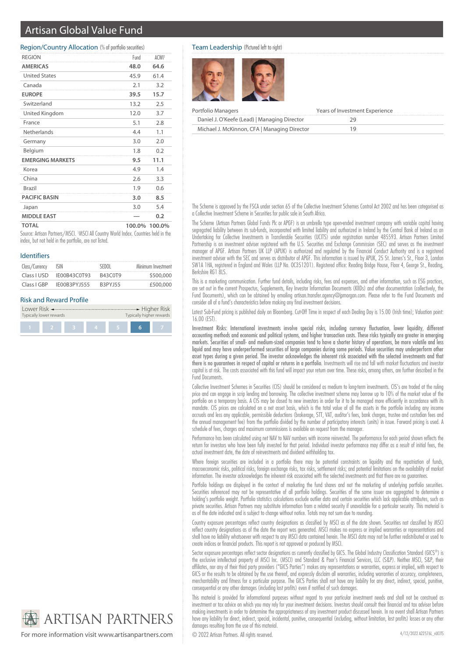# Artisan Global Value Fund

## Region/Country Allocation (% of portfolio securities)

| <b>REGION</b>           | Fund   | ACWI <sup>1</sup> |
|-------------------------|--------|-------------------|
| <b>AMERICAS</b>         | 48.0   | 64.6              |
| <b>United States</b>    | 45.9   | 61.4              |
| Canada                  | 2.1    | 3.2               |
| <b>EUROPE</b>           | 39.5   | 15.7              |
| Switzerland             | 13.2   | 2.5               |
| United Kingdom          | 12.0   | 3.7               |
| France                  | 5.1    | 2.8               |
| Netherlands             | 4.4    | 1.1               |
| Germany                 | 3.0    | 2.0               |
| Belgium                 | 1.8    | 0.2               |
| <b>FMFRGING MARKETS</b> | 9.5    | 11.1              |
| Korea                   | 4.9    | 1.4               |
| China                   | 2.6    | 3.3               |
| <b>Brazil</b>           | 1.9    | 0.6               |
| <b>PACIFIC BASIN</b>    | 3.0    | 8.5               |
| Japan                   | 3.0    | 5.4               |
| <b>MIDDLE EAST</b>      |        | 0.2               |
| TOTAL                   | 100.0% | 100.0%            |

Source: Artisan Partners/MSCI. <sup>1</sup>MSCI All Country World Index. Countries held in the index, but not held in the portfolio, are not listed.

#### Identifiers

| Class/Currency | ISIN         | SEDOL          | Minimum Investment |
|----------------|--------------|----------------|--------------------|
| Class LUSD     | IF00B43C0T93 | <b>B43C0T9</b> | \$500,000          |
| Class LGBP     | IF00B3PY1555 | <b>R3PY155</b> | £500,000           |

## Risk and Reward Profile

| Typically lower rewards |  |  |  | Typically higher rewards |  |  |
|-------------------------|--|--|--|--------------------------|--|--|
|                         |  |  |  |                          |  |  |

### Team Leadership (Pictured left to right)



| Portfolio Managers                           | Years of Investment Experience |
|----------------------------------------------|--------------------------------|
| Daniel J. O'Keefe (Lead)   Managing Director |                                |
| Michael J. McKinnon, CFA   Managing Director |                                |

The Scheme is approved by the FSCA under section 65 of the Collective Investment Schemes Control Act 2002 and has been categorised as a Collective Investment Scheme in Securities for public sale in South Africa.

The Scheme (Artisan Partners Global Funds Plc or APGF) is an umbrella type open-ended investment company with variable capital having segregated liability between its sub-funds, incorporated with limited liability and authorized in Ireland by the Central Bank of Ireland as an Undertaking for Collective Investments in Transferable Securities (UCITS) under registration number 485593. Artisan Partners Limited Partnership is an investment adviser registered with the U.S. Securities and Exchange Commission (SEC) and serves as the investment manager of APGF. Artisan Partners UK LLP (APUK) is authorized and regulated by the Financial Conduct Authority and is a registered investment adviser with the SEC and serves as distributor of APGF. This information is issued by APUK, 25 St. James's St., Floor 3, London SW1A 1HA, registered in England and Wales (LLP No. OC351201). Registered office: Reading Bridge House, Floor 4, George St., Reading, Berkshire RG1 8LS.

This is a marketing communication. Further fund details, including risks, fees and expenses, and other information, such as ESG practices, are set out in the current Prospectus, Supplements, Key Investor Information Documents (KIIDs) and other documentation (collectively, the Fund Documents), which can be obtained by emailing artisan.transfer.agency@jpmorgan.com. Please refer to the Fund Documents and consider all of a fund's characteristics before making any final investment decisions.

Latest Sub-Fund pricing is published daily on Bloomberg. Cut-Off Time in respect of each Dealing Day is 15.00 (Irish time); Valuation point: 16.00 (EST).

Investment Risks: International investments involve special risks, including currency fluctuation, lower liquidity, different accounting methods and economic and political systems, and higher transaction costs. These risks typically are greater in emerging markets. Securities of small- and medium-sized companies tend to have a shorter history of operations, be more volatile and less liquid and may have underperformed securities of large companies during some periods. Value securities may underperform other asset types during a given period. The investor acknowledges the inherent risk associated with the selected investments and that there is no guarantees in respect of capital or returns in a portfolio. Investments will rise and fall with market fluctuations and investor capital is at risk. The costs associated with this fund will impact your return over time. These risks, among others, are further described in the Fund Documents.

Collective Investment Schemes in Securities (CIS) should be considered as medium to long-term investments. CIS's are traded at the ruling price and can engage in scrip lending and borrowing. The collective investment scheme may borrow up to 10% of the market value of the portfolio on a temporary basis. A CIS may be closed to new investors in order for it to be managed more efficiently in accordance with its mandate. CIS prices are calculated on a net asset basis, which is the total value of all the assets in the portfolio including any income accruals and less any applicable, permissible deductions (brokerage, STT, VAT, auditor's fees, bank charges, trustee and custodian fees and the annual management fee) from the portfolio divided by the number of participatory interests (units) in issue. Forward pricing is used. A schedule of fees, charges and maximum commissions is available on request from the manager.

Performance has been calculated using net NAV to NAV numbers with income reinvested. The performance for each period shown reflects the return for investors who have been fully invested for that period. Individual investor performance may differ as a result of initial fees, the actual investment date, the date of reinvestments and dividend withholding tax.

Where foreign securities are included in a portfolio there may be potential constraints on liquidity and the repatriation of funds, macroeconomic risks, political risks, foreign exchange risks, tax risks, settlement risks; and potential limitations on the availability of market information. The investor acknowledges the inherent risk associated with the selected investments and that there are no guarantees.

Portfolio holdings are displayed in the context of marketing the fund shares and not the marketing of underlying portfolio securities. Securities referenced may not be representative of all portfolio holdings. Securities of the same issuer are aggregated to determine a holding's portfolio weight. Portfolio statistics calculations exclude outlier data and certain securities which lack applicable attributes, such as private securities. Artisan Partners may substitute information from a related security if unavailable for a particular security. This material is as of the date indicated and is subject to change without notice. Totals may not sum due to rounding.

Country exposure percentages reflect country designations as classified by MSCI as of the date shown. Securities not classified by MSCI reflect country designations as of the date the report was generated. MSCI makes no express or implied warranties or representations and shall have no liability whatsoever with respect to any MSCI data contained herein. The MSCI data may not be further redistributed or used to create indices or financial products. This report is not approved or produced by MSCI.

Sector exposure percentages reflect sector designations as currently classified by GICS. The Global Industry Classification Standard (GICS®) is the exclusive intellectual property of MSCI Inc. (MSCI) and Standard & Poor's Financial Services, LLC (S&P). Neither MSCI, S&P, their affiliates, nor any of their third party providers ("GICS Parties") makes any representations or warranties, express or implied, with respect to GICS or the results to be obtained by the use thereof, and expressly disclaim all warranties, including warranties of accuracy, completeness, merchantability and fitness for a particular purpose. The GICS Parties shall not have any liability for any direct, indirect, special, punitive, consequential or any other damages (including lost profits) even if notified of such damages.

This material is provided for informational purposes without regard to your particular investment needs and shall not be construed as investment or tax advice on which you may rely for your investment decisions. Investors should consult their financial and tax adviser before making investments in order to determine the appropriateness of any investment product discussed herein. In no event shall Artisan Partners have any liability for direct, indirect, special, incidental, punitive, consequential (including, without limitation, lost profits) losses or any other damages resulting from the use of this material.

**ARTISAN PARTNERS** 

For more information visit www.artisanpartners.com © 2022 Artisan Partners. All rights reserved.